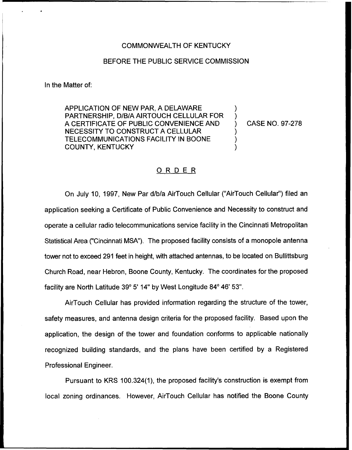## COMMONWEALTH OF KENTUCKY

## BEFORE THE PUBLIC SERVICE COMMISSION

In the Matter of:

APPLICATION OF NEW PAR, A DELAWARE PARTNERSHIP, D/B/A AIRTOUCH CELLULAR FOR A CERTIFICATE OF PUBLIC CONVENIENCE AND NECESSITY TO CONSTRUCT A CELLULAR TELECOMMUNICATIONS FACILITY IN BOONE COUNTY, KENTUCKY

) CASE NO. 97-278

) )

) ) )

## ORDER

On July 10, 1997, New Par d/b/a AirTouch Cellular ("AirTouch Cellular") filed ar application seeking a Certificate of Public Convenience and Necessity to construct and operate a cellular radio telecommunications service facility in the Cincinnati Metropolitan Statistical Area ("Cincinnati MSA"). The proposed facility consists of a monopole antenna tower not to exceed 291 feet in height, with attached antennas, to be located on Bullittsburg Church Road, near Hebron, Boone County, Kentucky. The coordinates for the proposed facility are North Latitude 39° 5' 14" by West Longitude 84° 46' 53".

AirTouch Cellular has provided information regarding the structure of the tower, safety measures, and antenna design criteria for the proposed facility. Based upon the application, the design of the tower and foundation conforms to applicable nationally recognized building standards, and the plans have been certified by a Registered Professional Engineer.

Pursuant to KRS 100.324(1), the proposed facility's construction is exempt from local zoning ordinances. However, AirTouch Cellular has notified the Boone County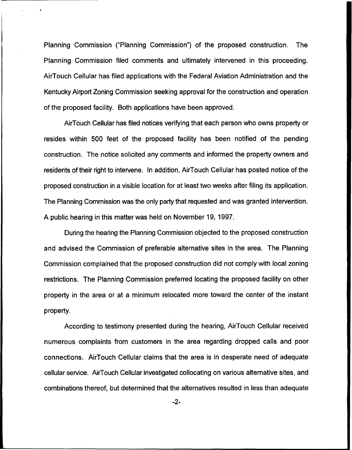Planning Commission ("Planning Commission") of the proposed construction. The Planning Commission filed comments and ultimately intervened in this proceeding. AirTouch Cellular has filed applications with the Federal Aviation Administration and the Kentucky Airport Zoning Commission seeking approval for the construction and operation of the proposed facility. Both applications have been approved.

AirTouch Cellular has filed notices verifying that each person who owns property or resides within 500 feet of the proposed facility has been notified of the pending construction. The notice solicited any comments and informed the property owners and residents of their right to intervene. In addition, AirTouch Cellular has posted notice of the proposed construction in a visible location for at least two weeks after filing its application. The Planning Commission was the only party that requested and was granted intervention. A public hearing in this matter was held on November 19, 1997.

During the hearing the Planning Commission objected to the proposed construction and advised the Commission of preferable alternative sites in the area. The Planning Commission complained that the proposed construction did not comply with local zoning restrictions. The Planning Commission preferred locating the proposed facility on other property in the area or at a minimum relocated more toward the center of the instant property.

According to testimony presented during the hearing, AirTouch Cellular received numerous complaints from customers in the area regarding dropped calls and poor connections. AirTouch Cellular claims that the area is in desperate need of adequate cellular service. AirTouch Cellular investigated collocating on various alternative sites, and combinations thereof, but determined that the alternatives resulted in less than adequate

 $-2-$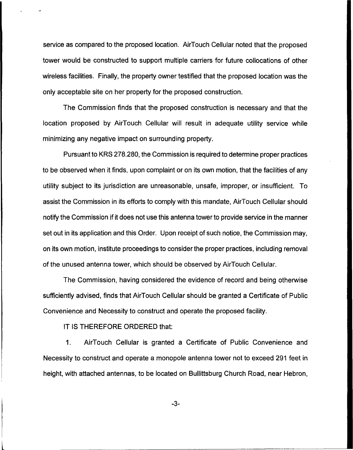service as compared to the proposed location. AirTouch Cellular noted that the proposed tower would be constructed to support multiple carriers for future collocations of other wireless facilities. Finally, the property owner testified that the proposed location was the only acceptable site on her property for the proposed construction.

The Commission finds that the proposed construction is necessary and that the location proposed by AirTouch Cellular will result in adequate utility service while minimizing any negative impact on surrounding property.

Pursuant to KRS 278.280, the Commission is required to determine proper practices to be observed when it finds, upon complaint or on its own motion, that the facilities of any utility subject to its jurisdiction are unreasonable, unsafe, improper, or insufficient, To assist the Commission in its efforts to comply with this mandate, AirTouch Cellular should notify the Commission if it does not use this antenna tower to provide service in the manner set out in its application and this Order. Upon receipt of such notice, the Commission may, on its own motion, institute proceedings to consider the proper practices, including removal of the unused antenna tower, which should be observed by AirTouch Cellular.

The Commission, having considered the evidence of record and being otherwise sufficiently advised, finds that AirTouch Cellular should be granted a Certificate of Public Convenience and Necessity to construct and operate the proposed facility.

IT IS THEREFORE ORDERED that:

1. AirTouch Cellular is granted a Certificate of Public Convenience and Necessity to construct and operate a monopole antenna tower not to exceed 291 feet in height, with attached antennas, to be located on Bullittsburg Church Road, near Hebron,

-3-